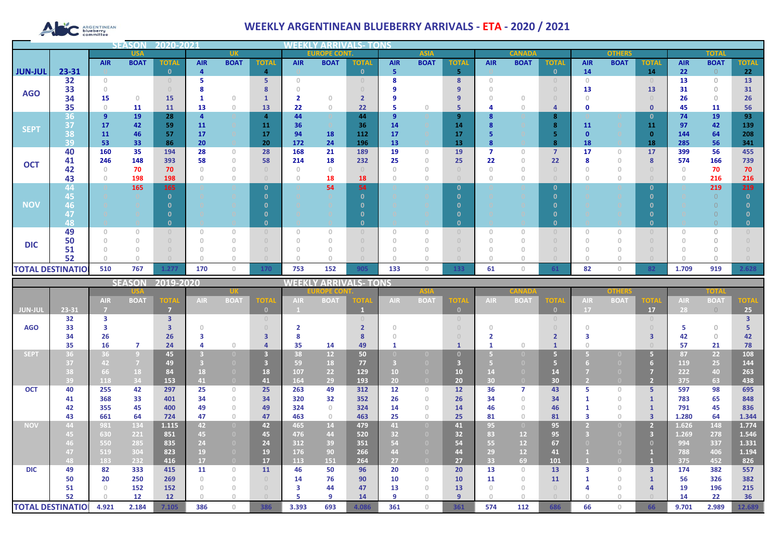# ARGENTINEAN

## **WEEKLY ARGENTINEAN BLUEBERRY ARRIVALS - ETA - 2020 / 2021**

|                |                          |                | <b>SEASON</b> | 2020-2021    |            |                                       |                |                     |                |              |                |                                  |              |               |             |                     |               |              |              |              |             |              |
|----------------|--------------------------|----------------|---------------|--------------|------------|---------------------------------------|----------------|---------------------|----------------|--------------|----------------|----------------------------------|--------------|---------------|-------------|---------------------|---------------|--------------|--------------|--------------|-------------|--------------|
|                | <b>USA</b>               |                |               |              | <b>UK</b>  |                                       |                | <b>EUROPE CONT.</b> |                |              | <b>ASIA</b>    |                                  |              | <b>CANADA</b> |             |                     | <b>OTHERS</b> |              |              | <b>TOTAL</b> |             |              |
|                |                          | <b>AIR</b>     | <b>BOAT</b>   | <b>TOTAL</b> | <b>AIR</b> | <b>BOAT</b>                           | <b>TOTAL</b>   | <b>AIR</b>          | <b>BOAT</b>    | <b>TOTAL</b> | <b>AIR</b>     | <b>BOAT</b>                      | <b>TOTAI</b> | <b>AIR</b>    | <b>BOAT</b> | <b>TOTAL</b>        | <b>AIR</b>    | <b>BOAT</b>  | <b>TOTAL</b> | <b>AIR</b>   | <b>BOAT</b> | <b>TOTAL</b> |
| <b>JUN-JUL</b> | 23-31                    |                |               | $\Omega$     | 4          |                                       | $\overline{4}$ |                     |                | $\mathbf{0}$ | 5              |                                  | 5.           |               |             | $\mathbf{0}$        | 14            |              | 14           | 22           | $\bigcirc$  | 22           |
|                | 32                       | $\Omega$       |               |              |            |                                       | 5              | $\cap$              |                |              | я              |                                  | 8            | n             |             | $\cup$              | $\bigcap$     |              |              | 13           | $\bigcirc$  | 13           |
| <b>AGO</b>     | 33                       |                |               |              |            |                                       |                |                     |                |              |                |                                  |              |               |             |                     | 13            |              | 13           | 31           | $\Omega$    | 31           |
|                | 34                       | 15             | $\circ$       | 15           |            | $\bigcap$                             |                |                     | $\Omega$       |              |                |                                  | 9            |               |             |                     |               |              |              | 26           | $\bigcirc$  | 26           |
|                | 35                       |                | 11            | 11           | 13         | $\theta$                              | 13             | 22                  | $\overline{0}$ | 22           | 5              | $\Box$                           | 5            |               |             | $\overline{a}$      | 0             |              | $\mathbf 0$  | 45           | 11          | 56           |
| <b>SEPT</b>    | 36                       | $\overline{9}$ | 19            | 28           |            |                                       | $\overline{a}$ | 44                  |                | 44           | $\overline{9}$ |                                  | 9            |               |             | 8                   |               |              | 0            | 74           | 19          | 93           |
|                | 37                       | 17             | 42            | 59           | 11         |                                       | 11             | 36                  |                | 36           | 14             |                                  | 14           |               |             | 8                   | 11            |              | 11           | 97           | 42          | 139          |
|                | 38                       | 11             | 46            | 57           | 17         |                                       | 17             | 94<br>172           | 18<br>24       | 112          | 17             |                                  | 17           |               |             |                     |               |              |              | 144          | 64<br>56    | 208          |
|                | 39<br>40                 | 53<br>160      | 33<br>35      | 86<br>194    | 20<br>28   | $\begin{array}{c} 0 \\ 0 \end{array}$ | 20<br>28       | 168                 | 21             | 196<br>189   | 13<br>19       | $\begin{array}{c} 0 \end{array}$ | 13<br>19     |               | 0           | 8<br>$\overline{7}$ | 18<br>17      | $\mathbf{0}$ | 18<br>17     | 285<br>399   | 56          | 341<br>455   |
|                | 41                       | 246            | 148           | 393          | 58         | $\theta$                              | 58             | 214                 | 18             | 232          | 25             |                                  | 25           | 22            |             | 22                  |               | 0            | 8            | 574          | 166         | 739          |
| <b>OCT</b>     | 42                       |                | 70            | 70           |            | $\begin{array}{c} 0 \\ 0 \end{array}$ |                | $\Omega$            | $\Omega$       |              |                |                                  |              |               |             |                     |               | $\Omega$     |              |              | 70          | 70           |
|                | 43                       |                | 198           | 198          |            | $\circ$                               | $\Box$         | $\Omega$            | 18             | 18           |                |                                  |              |               |             |                     |               | 0            |              |              | 216         | 216          |
|                | 44                       |                | 165           | 165          |            |                                       | $\Omega$       |                     | 54             | 54           |                |                                  | $\mathbf{0}$ |               |             | $\mathbf{0}$        |               |              | - 0          |              | 219         | 219          |
|                | 45                       |                |               |              |            |                                       |                |                     |                |              |                |                                  |              |               |             |                     |               |              |              |              |             |              |
| <b>NOV</b>     | 46                       |                |               |              |            |                                       |                |                     |                |              |                |                                  |              |               |             |                     |               |              |              |              |             |              |
|                | 47                       |                |               |              |            |                                       |                |                     |                |              |                |                                  |              |               |             |                     |               |              |              |              |             |              |
|                | 48                       |                |               |              |            |                                       |                |                     |                | n.           |                |                                  | 0            |               |             | $\mathbf{0}$        |               |              |              |              |             |              |
|                | 49                       |                | $\Omega$      |              |            | $\Omega$                              |                | $\Omega$            |                |              | $\Omega$       |                                  |              |               |             | $\Omega$            |               |              |              |              | $\bigcap$   |              |
|                | 50                       |                |               |              |            | $\Omega$                              | $\Box$         | $\Omega$            |                |              |                |                                  |              |               |             | $\Box$              |               |              |              |              |             |              |
| <b>DIC</b>     | 51                       |                |               |              |            |                                       |                |                     |                |              |                |                                  |              |               |             |                     |               |              |              |              |             |              |
|                | 52                       |                |               |              |            |                                       |                |                     |                |              |                |                                  |              |               |             |                     |               |              |              |              |             |              |
|                | <b>TOTAL DESTINATIOI</b> | 510            | 767           | 1.277        | 170        | $\mathbf{0}$                          | 170            | 753                 | 152            | 905          | 133            | $\Omega$                         | 133          | 61            | 0           | 61                  | 82            | $\circ$      | 82           | 1.709        | 919         | 2.628        |

|                          |       |            | <b>SEASON</b>  | 2019-2020               |      |                                       |                                  | WEEKI      |                | LY ARRIVALS- TONS |            |                |          |            |                   |                                  |            |             |                                  |            |             |             |  |
|--------------------------|-------|------------|----------------|-------------------------|------|---------------------------------------|----------------------------------|------------|----------------|-------------------|------------|----------------|----------|------------|-------------------|----------------------------------|------------|-------------|----------------------------------|------------|-------------|-------------|--|
|                          |       |            |                |                         |      |                                       |                                  |            | <b>OPE COI</b> |                   |            | <b>ASIA</b>    |          |            |                   |                                  |            | others      |                                  | TOTA       |             |             |  |
|                          |       | <b>AIR</b> | <b>BOAT</b>    | <b>TOTA</b>             | AIR. | <b>BOAT</b>                           | <b>TOTA</b>                      | <b>AIR</b> | <b>BOAT</b>    | OTA               | <b>AIR</b> | <b>BOAT</b>    | ют       | <b>AIR</b> | <b>BOA</b>        | <b>TOTA</b>                      | <b>AIR</b> | <b>BOAT</b> | <b>OTA</b>                       | <b>AIR</b> | <b>BOAT</b> | <b>TOTA</b> |  |
| <b>JUN-JUL</b>           | 23-31 |            |                | -7                      |      |                                       | $\mathbf{0}$                     |            |                |                   |            |                | $\Omega$ |            |                   | $\mathbf{0}$                     | 17         |             | 17                               | 28         | $\bigcirc$  | 25          |  |
|                          | 32    | 3          |                | $\overline{\mathbf{3}}$ |      |                                       | $\begin{array}{c} 0 \end{array}$ |            |                |                   |            |                |          |            |                   | $\begin{array}{c} 0 \end{array}$ |            |             | $\begin{array}{c} \n\end{array}$ |            |             |             |  |
| <b>AGO</b>               | 33    |            |                |                         |      |                                       |                                  |            |                |                   |            |                |          |            |                   |                                  |            |             |                                  |            | $\bigcap$   |             |  |
|                          | 34    | 26         |                | 26                      |      |                                       |                                  |            |                |                   |            |                |          |            |                   |                                  |            |             |                                  | 42         | $\bigcap$   | 42          |  |
|                          | 35    | 16         | $\overline{7}$ | 24                      |      | $\Box$                                |                                  | 35         | 14             | 49                |            |                |          |            |                   |                                  |            |             |                                  | 57         | 21          | 78          |  |
| <b>SEPT</b>              | 36    | 36         | $\overline{9}$ | 45                      |      |                                       | $\overline{3}$                   | 38         | 12             | 50                |            |                |          |            |                   |                                  |            |             | 67                               | 87         | 22          | 108         |  |
|                          | 37    | 42         | $\overline{7}$ | 49                      |      |                                       |                                  | 59         | 18             | 77                |            |                |          |            |                   |                                  |            |             | 6                                | 119        | 25          | 144         |  |
|                          | 38    | 66         | 18             | 84                      | 18   | $\Box$                                | 18                               | 107        | 22             | 129               | 10         | $\Box$         | 10       |            |                   | 14                               |            |             |                                  | 222        | 40          | 263         |  |
|                          | 39    | 118        | 34             | 153                     | 41   | $\overline{0}$                        | 41                               | 164        | 29             | 193               | 20         | $\Box$         | 20       | 30         |                   | 30 <sub>2</sub>                  |            |             | $\overline{2}$                   | 375        | 63          | 438         |  |
| <b>OCT</b>               | 40    | 255        | 42             | 297                     | 25   | $\mathbf{0}$                          | 25                               | 263        | 49             | 312               | 12         | $\Omega$       | 12       | 36         |                   | 43                               |            | $\Box$      | 5.                               | 597        | 98          | 695         |  |
|                          | 41    | 368        | 33             | 401                     | 34   | $\begin{array}{c} 0 \end{array}$      | 34                               | 320        | 32             | 352               | 26         | $\Omega$       | 26       | 34         | $\cap$            | 34                               |            | $\Omega$    |                                  | 783        | 65          | 848         |  |
|                          | 42    | 355        | 45             | 400                     | 49   | $\Omega$                              | 49                               | 324        | $\Omega$       | 324               | 14         |                | 14       | 46         |                   | 46                               |            | $\cup$      |                                  | 791        | 45          | 836         |  |
|                          | 43    | 661        | 64             | 724                     | 47   | $\circ$                               | 47                               | 463        | $\Omega$       | 463               | 25         | $\Box$         | 25       | 81         | $\cap$            | 81                               |            | $\Box$      | $\mathbf{3}$                     | 1.280      | 64          | 1.344       |  |
| <b>NOV</b>               | 44    | 981        | 134            | 1.115                   | 42   | $\overline{0}$                        | 42                               | 465        | 14             | 479               | 41         | $\overline{0}$ | 41       | 95         | $\left( 0\right)$ | 95                               |            |             |                                  | 1.626      | 148         | 1.774       |  |
|                          | 45    | 630        | 221            | 851                     | 45   | $\overline{0}$                        | 45                               | 476        | 44             | 520               | 32         | $\Box$         | 32       | 83         | 12 <sub>2</sub>   | 95                               |            |             |                                  | 1.269      | 278         | 1.546       |  |
|                          | 46.   | 550        | 285            | 835                     | 24   | $\overline{0}$                        | 24                               | 312        | 39             | 351               | 54         | $\Box$         | 54       | 55         | 12                | 67                               |            |             | $\Omega$                         | 994        | 337         | 1.331       |  |
|                          | 47    | 519        | 304            | 823                     | 19   | $\Omega$                              | 19                               | 176        | 90             | 266               | 44         |                | 44       | 29         | 12 <sub>2</sub>   | 41                               |            |             |                                  | 788        | 406         | 1.194       |  |
|                          | 48    | 183        | 232            | 416                     | 17   | $\overline{0}$                        | 17                               | 113        | 151            | 264               | 27         | $\Box$         | 27       | 33         | 69                | 101                              |            |             |                                  | 375        | 452         | 826         |  |
| <b>DIC</b>               | 49    | 82         | 333            | 415                     | 11   | $\Omega$                              | 11                               | 46         | 50             | 96                | 20         | $\Omega$       | 20       | 13         | $\cap$            | 13                               |            | $\Box$      | $\overline{3}$                   | 174        | 382         | 557         |  |
|                          | 50    | 20         | 250            | 269                     |      | $\begin{array}{c} 0 \end{array}$      | $\cup$                           | 14         | 76             | 90                | 10         | $\Omega$       | 10       | 11         | $\cap$            | 11                               |            | $\cup$      |                                  | 56         | 326         | 382         |  |
|                          | 51    |            | 152            | 152                     |      | $\begin{array}{c} 0 \\ 0 \end{array}$ | $\cap$                           | з          | 44             | 47                | 13         |                | 13       |            |                   | $\cap$                           |            |             |                                  | 19         | 196         | 215         |  |
|                          | 52    |            | 12             | 12                      |      | $\Box$                                |                                  |            | q              | 14                | 9          |                | $\alpha$ |            |                   |                                  |            |             |                                  | 14         | 22          | 36          |  |
| <b>TOTAL DESTINATIOI</b> |       | 4.921      | 2.184          | 7.105                   | 386  | $\Omega$                              | 386                              | 3.393      | 693            | 4.086             | 361        | $\Omega$       | 361      | 574        | 112               | 686                              | 66         | $\Box$      | 66                               | 9.701      | 2.989       | 12.689      |  |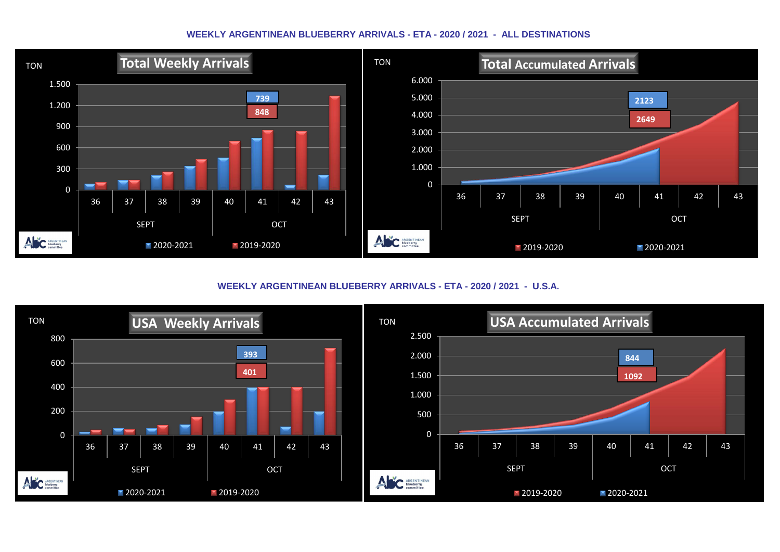#### **WEEKLY ARGENTINEAN BLUEBERRY ARRIVALS - ETA - 2020 / 2021 - ALL DESTINATIONS**



**WEEKLY ARGENTINEAN BLUEBERRY ARRIVALS - ETA - 2020 / 2021 - U.S.A.**

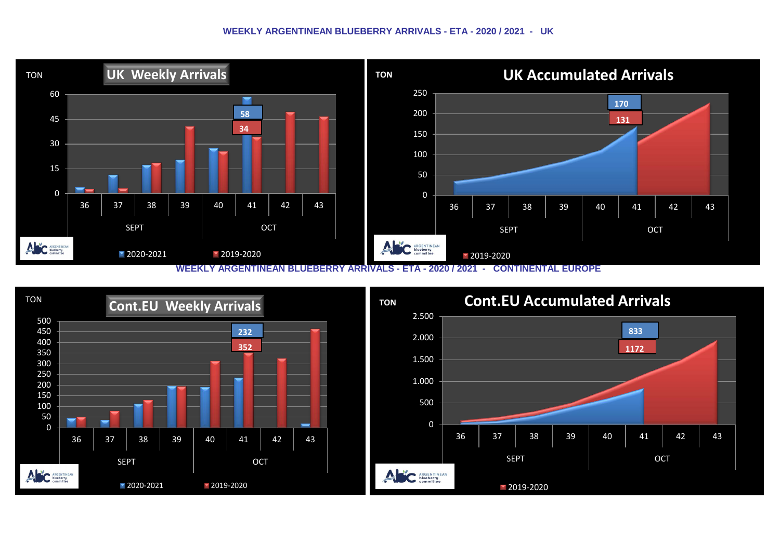#### **WEEKLY ARGENTINEAN BLUEBERRY ARRIVALS - ETA - 2020 / 2021 - UK**